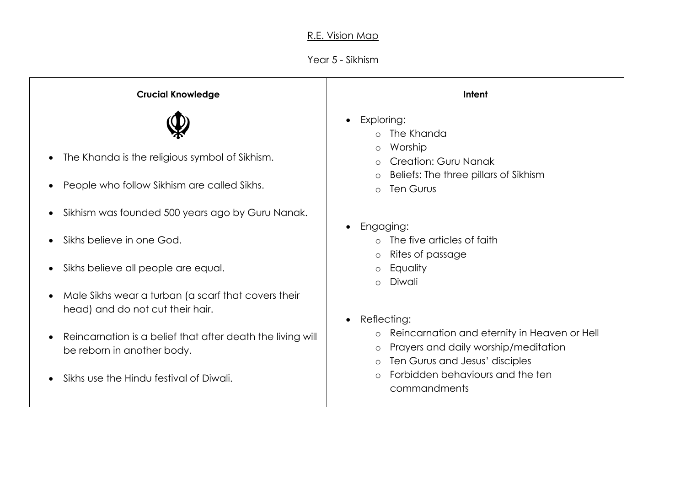## R.E. Vision Map

## Year 5 - Sikhism

| <b>Crucial Knowledge</b>                                                                      | Intent                                                                                                                                                                 |
|-----------------------------------------------------------------------------------------------|------------------------------------------------------------------------------------------------------------------------------------------------------------------------|
| The Khanda is the religious symbol of Sikhism.<br>People who follow Sikhism are called Sikhs. | Exploring:<br>$\bullet$<br>The Khanda<br>Worship<br>$\circ$<br><b>Creation: Guru Nanak</b><br>Beliefs: The three pillars of Sikhism<br>$\circ$<br>Ten Gurus<br>$\circ$ |
| Sikhism was founded 500 years ago by Guru Nanak.                                              |                                                                                                                                                                        |
| Sikhs believe in one God.                                                                     | Engaging:<br>$\bullet$<br>The five articles of faith<br>Rites of passage<br>$\circ$                                                                                    |
| Sikhs believe all people are equal.                                                           | Equality<br>$\circ$<br>Diwali                                                                                                                                          |
| Male Sikhs wear a turban (a scarf that covers their<br>head) and do not cut their hair.       | $\circ$<br>Reflecting:<br>$\bullet$                                                                                                                                    |
| Reincarnation is a belief that after death the living will<br>be reborn in another body.      | Reincarnation and eternity in Heaven or Hell<br>$\circ$<br>Prayers and daily worship/meditation<br>$\circ$<br>Ten Gurus and Jesus' disciples<br>$\circ$                |
| Sikhs use the Hindu festival of Diwali.                                                       | Forbidden behaviours and the ten<br>$\Omega$<br>commandments                                                                                                           |